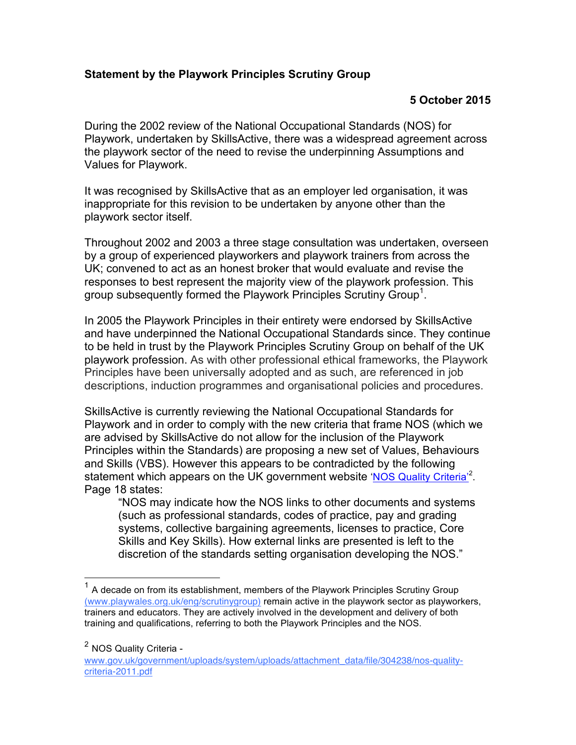## **Statement by the Playwork Principles Scrutiny Group**

## **5 October 2015**

During the 2002 review of the National Occupational Standards (NOS) for Playwork, undertaken by SkillsActive, there was a widespread agreement across the playwork sector of the need to revise the underpinning Assumptions and Values for Playwork.

It was recognised by SkillsActive that as an employer led organisation, it was inappropriate for this revision to be undertaken by anyone other than the playwork sector itself.

Throughout 2002 and 2003 a three stage consultation was undertaken, overseen by a group of experienced playworkers and playwork trainers from across the UK; convened to act as an honest broker that would evaluate and revise the responses to best represent the majority view of the playwork profession. This group subsequently formed the Playwork Principles Scrutiny Group<sup>1</sup>.

In 2005 the Playwork Principles in their entirety were endorsed by SkillsActive and have underpinned the National Occupational Standards since. They continue to be held in trust by the Playwork Principles Scrutiny Group on behalf of the UK playwork profession. As with other professional ethical frameworks, the Playwork Principles have been universally adopted and as such, are referenced in job descriptions, induction programmes and organisational policies and procedures.

SkillsActive is currently reviewing the National Occupational Standards for Playwork and in order to comply with the new criteria that frame NOS (which we are advised by SkillsActive do not allow for the inclusion of the Playwork Principles within the Standards) are proposing a new set of Values, Behaviours and Skills (VBS). However this appears to be contradicted by the following statement which appears on the UK government website 'NOS Quality Criteria'<sup>2</sup>. Page 18 states:

"NOS may indicate how the NOS links to other documents and systems (such as professional standards, codes of practice, pay and grading systems, collective bargaining agreements, licenses to practice, Core Skills and Key Skills). How external links are presented is left to the discretion of the standards setting organisation developing the NOS."

 $1$  A decade on from its establishment, members of the Playwork Principles Scrutiny Group (www.playwales.org.uk/eng/scrutinygroup) remain active in the playwork sector as playworkers, trainers and educators. They are actively involved in the development and delivery of both training and qualifications, referring to both the Playwork Principles and the NOS.

<sup>2</sup> NOS Quality Criteria -

www.gov.uk/government/uploads/system/uploads/attachment\_data/file/304238/nos-qualitycriteria-2011.pdf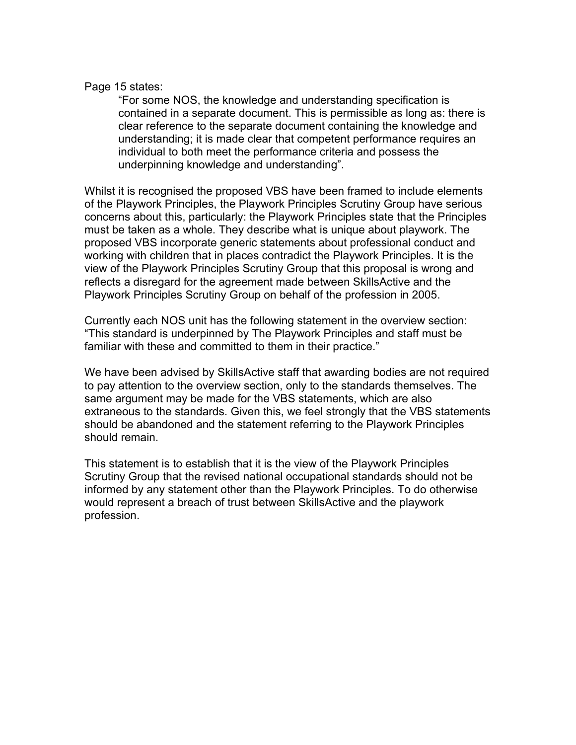## Page 15 states:

"For some NOS, the knowledge and understanding specification is contained in a separate document. This is permissible as long as: there is clear reference to the separate document containing the knowledge and understanding; it is made clear that competent performance requires an individual to both meet the performance criteria and possess the underpinning knowledge and understanding".

Whilst it is recognised the proposed VBS have been framed to include elements of the Playwork Principles, the Playwork Principles Scrutiny Group have serious concerns about this, particularly: the Playwork Principles state that the Principles must be taken as a whole. They describe what is unique about playwork. The proposed VBS incorporate generic statements about professional conduct and working with children that in places contradict the Playwork Principles. It is the view of the Playwork Principles Scrutiny Group that this proposal is wrong and reflects a disregard for the agreement made between SkillsActive and the Playwork Principles Scrutiny Group on behalf of the profession in 2005.

Currently each NOS unit has the following statement in the overview section: "This standard is underpinned by The Playwork Principles and staff must be familiar with these and committed to them in their practice."

We have been advised by SkillsActive staff that awarding bodies are not required to pay attention to the overview section, only to the standards themselves. The same argument may be made for the VBS statements, which are also extraneous to the standards. Given this, we feel strongly that the VBS statements should be abandoned and the statement referring to the Playwork Principles should remain.

This statement is to establish that it is the view of the Playwork Principles Scrutiny Group that the revised national occupational standards should not be informed by any statement other than the Playwork Principles. To do otherwise would represent a breach of trust between SkillsActive and the playwork profession.